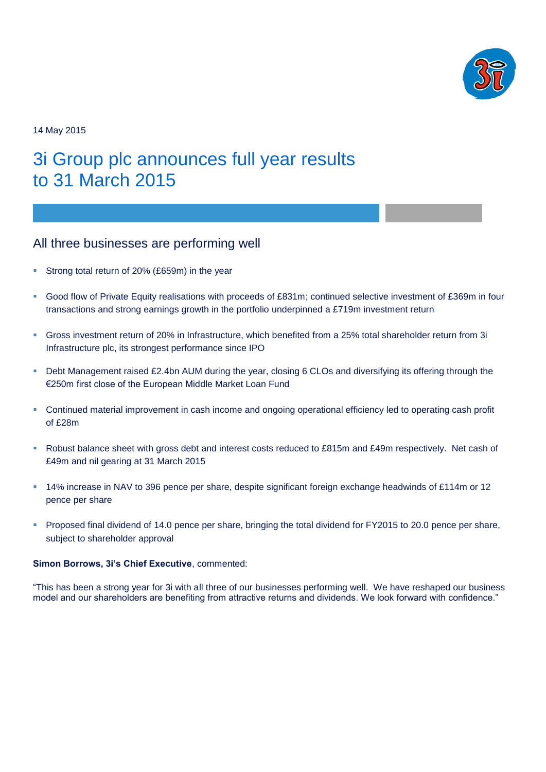

14 May 2015

# 3i Group plc announces full year results to 31 March 2015

### All three businesses are performing well

- Strong total return of 20% (£659m) in the year
- Good flow of Private Equity realisations with proceeds of £831m; continued selective investment of £369m in four transactions and strong earnings growth in the portfolio underpinned a £719m investment return
- Gross investment return of 20% in Infrastructure, which benefited from a 25% total shareholder return from 3i Infrastructure plc, its strongest performance since IPO
- **-** Debt Management raised £2.4bn AUM during the year, closing 6 CLOs and diversifying its offering through the €250m first close of the European Middle Market Loan Fund
- Continued material improvement in cash income and ongoing operational efficiency led to operating cash profit of £28m
- Robust balance sheet with gross debt and interest costs reduced to £815m and £49m respectively. Net cash of £49m and nil gearing at 31 March 2015
- 14% increase in NAV to 396 pence per share, despite significant foreign exchange headwinds of £114m or 12 pence per share
- Proposed final dividend of 14.0 pence per share, bringing the total dividend for FY2015 to 20.0 pence per share, subject to shareholder approval

#### **Simon Borrows, 3i's Chief Executive**, commented:

"This has been a strong year for 3i with all three of our businesses performing well. We have reshaped our business model and our shareholders are benefiting from attractive returns and dividends. We look forward with confidence."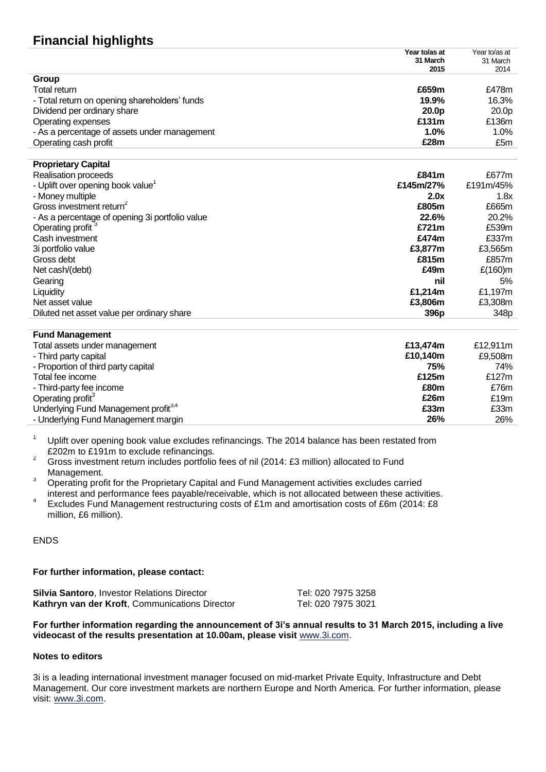## **Financial highlights**

| Year to/as at |
|---------------|
| 31 March      |
| 2014          |
|               |
| £478m         |
| 16.3%         |
| 20.0p         |
| £136m         |
| 1.0%          |
| £5m           |
|               |

| <b>Proprietary Capital</b>                      |                  |                  |
|-------------------------------------------------|------------------|------------------|
| Realisation proceeds                            | £841m            | £677m            |
| - Uplift over opening book value <sup>1</sup>   | £145m/27%        | £191m/45%        |
| - Money multiple                                | 2.0x             | 1.8x             |
| Gross investment return <sup>2</sup>            | £805m            | £665m            |
| - As a percentage of opening 3i portfolio value | 22.6%            | 20.2%            |
| Operating profit <sup>3</sup>                   | £721m            | £539m            |
| Cash investment                                 | £474m            | £337m            |
| 3i portfolio value                              | £3.877m          | £3,565m          |
| Gross debt                                      | £815m            | £857m            |
| Net cash/(debt)                                 | £49m             | £(160)m          |
| Gearing                                         | nil              | 5%               |
| Liquidity                                       | £1.214m          | £1,197m          |
| Net asset value                                 | £3,806m          | £3,308m          |
| Diluted net asset value per ordinary share      | 396 <sub>p</sub> | 348 <sub>p</sub> |

#### **Fund Management**

| <b>Fund Management</b>                           |          |          |
|--------------------------------------------------|----------|----------|
| Total assets under management                    | £13.474m | £12.911m |
| - Third party capital                            | £10.140m | £9,508m  |
| - Proportion of third party capital              | 75%      | 74%      |
| Total fee income                                 | £125m    | £127m    |
| - Third-party fee income                         | £80m     | £76m     |
| Operating profit <sup>3</sup>                    | £26m     | £19m     |
| Underlying Fund Management profit <sup>3,4</sup> | £33m     | £33m     |
| - Underlying Fund Management margin              | 26%      | 26%      |
|                                                  |          |          |

- <sup>1</sup> Uplift over opening book value excludes refinancings. The 2014 balance has been restated from £202m to £191m to exclude refinancings.
- <sup>2</sup> Gross investment return includes portfolio fees of nil (2014: £3 million) allocated to Fund Management.
- <sup>3</sup> Operating profit for the Proprietary Capital and Fund Management activities excludes carried interest and performance fees payable/receivable, which is not allocated between these activities.
- 4 Excludes Fund Management restructuring costs of £1m and amortisation costs of £6m (2014: £8 million, £6 million).

#### ENDS

#### **For further information, please contact:**

| <b>Silvia Santoro, Investor Relations Director</b> |
|----------------------------------------------------|
| Kathryn van der Kroft, Communications Director     |

**Silvia Santoro**, Investor Relations Director Tel: 020 7975 3258 Tel: 020 7975 3021

#### **For further information regarding the announcement of 3i's annual results to 31 March 2015, including a live videocast of the results presentation at 10.00am, please visit** [www.3i.com.](http://www.3i.com/)

#### **Notes to editors**

3i is a leading international investment manager focused on mid-market Private Equity, Infrastructure and Debt Management. Our core investment markets are northern Europe and North America. For further information, please visit: [www.3i.com.](http://www.3i.com/)